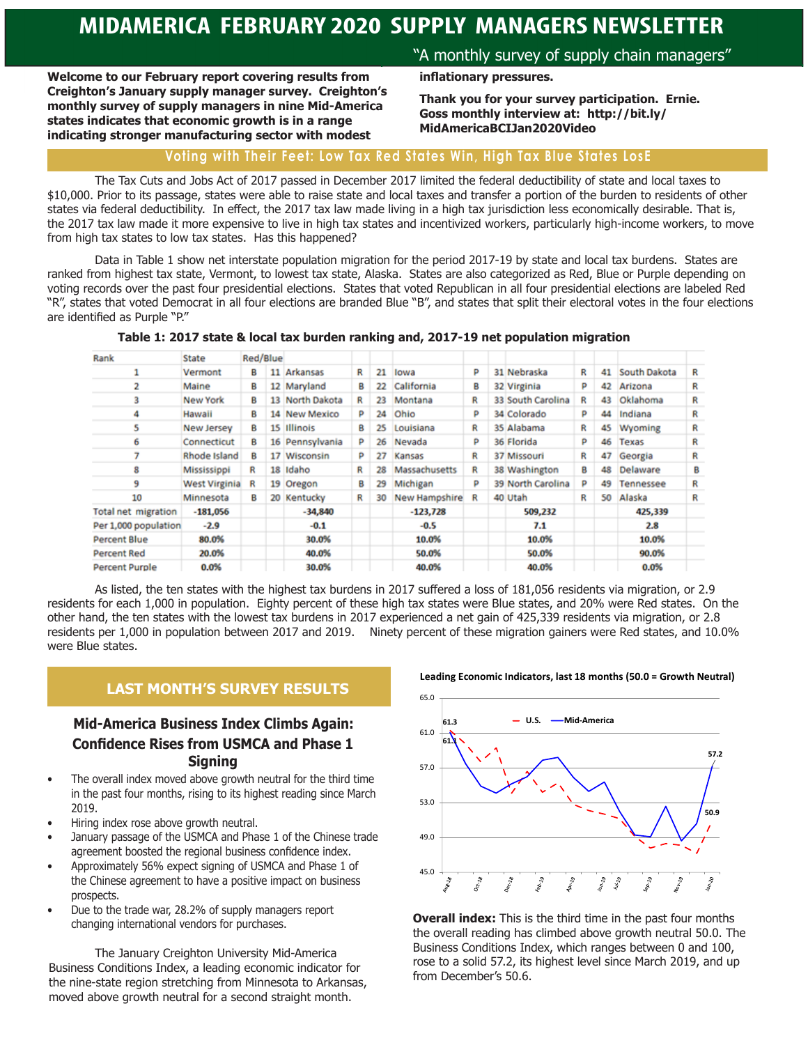**Welcome to our February report covering results from Creighton's January supply manager survey. Creighton's monthly survey of supply managers in nine Mid-America states indicates that economic growth is in a range indicating stronger manufacturing sector with modest** 

### "A monthly survey of supply chain managers"

**inflationary pressures.** 

**Thank you for your survey participation. Ernie. Goss monthly interview at: http://bit.ly/ MidAmericaBCIJan2020Video**

### **Voting with Their Feet: Low Tax Red States Win, High Tax Blue States LosE**

The Tax Cuts and Jobs Act of 2017 passed in December 2017 limited the federal deductibility of state and local taxes to \$10,000. Prior to its passage, states were able to raise state and local taxes and transfer a portion of the burden to residents of other states via federal deductibility. In effect, the 2017 tax law made living in a high tax jurisdiction less economically desirable. That is, the 2017 tax law made it more expensive to live in high tax states and incentivized workers, particularly high-income workers, to move from high tax states to low tax states. Has this happened?

Data in Table 1 show net interstate population migration for the period 2017-19 by state and local tax burdens. States are ranked from highest tax state, Vermont, to lowest tax state, Alaska. States are also categorized as Red, Blue or Purple depending on voting records over the past four presidential elections. States that voted Republican in all four presidential elections are labeled Red "R", states that voted Democrat in all four elections are branded Blue "B", and states that split their electoral votes in the four elections are identified as Purple "P."

|  |  | Table 1: 2017 state & local tax burden ranking and, 2017-19 net population migration |  |  |
|--|--|--------------------------------------------------------------------------------------|--|--|
|--|--|--------------------------------------------------------------------------------------|--|--|

| Rank                       | State                | Red/Blue |    |                 |   |    |               |   |                   |   |    |              |   |
|----------------------------|----------------------|----------|----|-----------------|---|----|---------------|---|-------------------|---|----|--------------|---|
|                            | Vermont              | в        | 11 | Arkansas        | R | 21 | lowa          | р | 31 Nebraska       | R | 41 | South Dakota | R |
|                            | Maine                | в        |    | 12 Maryland     | в | 22 | California    | в | 32 Virginia       | р | 42 | Arizona      | R |
| 3                          | New York             | в        |    | 13 North Dakota | R | 23 | Montana       | R | 33 South Carolina | R | 43 | Oklahoma     | R |
| 4                          | Hawaii               | в        |    | 14 New Mexico   | P | 24 | Ohio          | p | 34 Colorado       | p | 44 | Indiana      | R |
| 5                          | <b>New Jersey</b>    | в        | 15 | <b>Illinois</b> | в | 25 | Louisiana     | R | 35 Alabama        | R | 45 | Wyoming      | R |
| 6                          | Connecticut          | в        |    | 16 Pennsylvania | P | 26 | Nevada        | P | 36 Florida        | P | 46 | Texas        | R |
|                            | Rhode Island         | в        |    | 17 Wisconsin    | P | 27 | Kansas        | R | 37 Missouri       | R | 47 | Georgia      | R |
| 8                          | Mississippi          | R        | 18 | Idaho           | R | 28 | Massachusetts | R | 38 Washington     | в | 48 | Delaware     | в |
| 9                          | <b>West Virginia</b> | R        |    | 19 Oregon       | в | 29 | Michigan      | p | 39 North Carolina | P | 49 | Tennessee    | R |
| 10                         | Minnesota            | в        | 20 | Kentucky        | R | 30 | New Hampshire | R | 40 Utah           | R | 50 | Alaska       | R |
| <b>Total net migration</b> | $-181,056$           |          |    | -34,840         |   |    | $-123,728$    |   | 509,232           |   |    | 425,339      |   |
| Per 1,000 population       | $-2.9$               |          |    | $-0.1$          |   |    | $-0.5$        |   | 7.1               |   |    | 2.8          |   |
| Percent Blue               | 80.0%                |          |    | 30.0%           |   |    | 10.0%         |   | 10.0%             |   |    | 10.0%        |   |
| <b>Percent Red</b>         | 20.0%                |          |    | 40.0%           |   |    | 50.0%         |   | 50.0%             |   |    | 90.0%        |   |
| <b>Percent Purple</b>      | 0.0%                 |          |    | 30.0%           |   |    | 40.0%         |   | 40.0%             |   |    | 0.0%         |   |

As listed, the ten states with the highest tax burdens in 2017 suffered a loss of 181,056 residents via migration, or 2.9 residents for each 1,000 in population. Eighty percent of these high tax states were Blue states, and 20% were Red states. On the other hand, the ten states with the lowest tax burdens in 2017 experienced a net gain of 425,339 residents via migration, or 2.8 residents per 1,000 in population between 2017 and 2019. Ninety percent of these migration gainers were Red states, and 10.0% were Blue states.

### **LAST MONTH'S SURVEY RESULTS**

### **Mid-America Business Index Climbs Again: Confidence Rises from USMCA and Phase 1 Signing**

- The overall index moved above growth neutral for the third time in the past four months, rising to its highest reading since March 2019.
- Hiring index rose above growth neutral.
- January passage of the USMCA and Phase 1 of the Chinese trade agreement boosted the regional business confidence index.
- Approximately 56% expect signing of USMCA and Phase 1 of the Chinese agreement to have a positive impact on business prospects.
- Due to the trade war, 28.2% of supply managers report changing international vendors for purchases.

The January Creighton University Mid-America Business Conditions Index, a leading economic indicator for the nine-state region stretching from Minnesota to Arkansas, moved above growth neutral for a second straight month.

**Leading Economic Indicators, last 18 months (50.0 = Growth Neutral)**



**Overall index:** This is the third time in the past four months the overall reading has climbed above growth neutral 50.0. The Business Conditions Index, which ranges between 0 and 100, rose to a solid 57.2, its highest level since March 2019, and up from December's 50.6.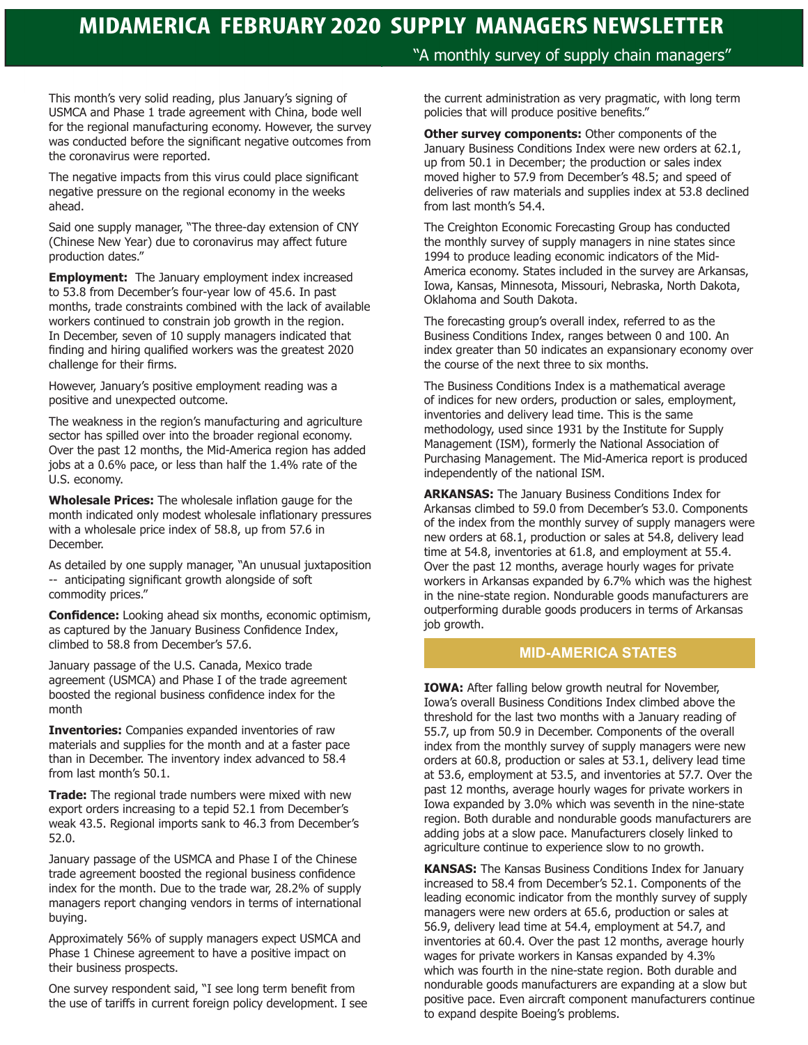This month's very solid reading, plus January's signing of USMCA and Phase 1 trade agreement with China, bode well for the regional manufacturing economy. However, the survey was conducted before the significant negative outcomes from the coronavirus were reported.

The negative impacts from this virus could place significant negative pressure on the regional economy in the weeks ahead.

Said one supply manager, "The three-day extension of CNY (Chinese New Year) due to coronavirus may affect future production dates."

**Employment:** The January employment index increased to 53.8 from December's four-year low of 45.6. In past months, trade constraints combined with the lack of available workers continued to constrain job growth in the region. In December, seven of 10 supply managers indicated that finding and hiring qualified workers was the greatest 2020 challenge for their firms.

However, January's positive employment reading was a positive and unexpected outcome.

The weakness in the region's manufacturing and agriculture sector has spilled over into the broader regional economy. Over the past 12 months, the Mid-America region has added jobs at a 0.6% pace, or less than half the 1.4% rate of the U.S. economy.

**Wholesale Prices:** The wholesale inflation gauge for the month indicated only modest wholesale inflationary pressures with a wholesale price index of 58.8, up from 57.6 in December.

As detailed by one supply manager, "An unusual juxtaposition -- anticipating significant growth alongside of soft commodity prices."

**Confidence:** Looking ahead six months, economic optimism, as captured by the January Business Confidence Index, climbed to 58.8 from December's 57.6.

January passage of the U.S. Canada, Mexico trade agreement (USMCA) and Phase I of the trade agreement boosted the regional business confidence index for the month

**Inventories:** Companies expanded inventories of raw materials and supplies for the month and at a faster pace than in December. The inventory index advanced to 58.4 from last month's 50.1.

**Trade:** The regional trade numbers were mixed with new export orders increasing to a tepid 52.1 from December's weak 43.5. Regional imports sank to 46.3 from December's 52.0.

January passage of the USMCA and Phase I of the Chinese trade agreement boosted the regional business confidence index for the month. Due to the trade war, 28.2% of supply managers report changing vendors in terms of international buying.

Approximately 56% of supply managers expect USMCA and Phase 1 Chinese agreement to have a positive impact on their business prospects.

One survey respondent said, "I see long term benefit from the use of tariffs in current foreign policy development. I see "A monthly survey of supply chain managers"

the current administration as very pragmatic, with long term policies that will produce positive benefits."

**Other survey components: Other components of the** January Business Conditions Index were new orders at 62.1, up from 50.1 in December; the production or sales index moved higher to 57.9 from December's 48.5; and speed of deliveries of raw materials and supplies index at 53.8 declined from last month's 54.4.

The Creighton Economic Forecasting Group has conducted the monthly survey of supply managers in nine states since 1994 to produce leading economic indicators of the Mid-America economy. States included in the survey are Arkansas, Iowa, Kansas, Minnesota, Missouri, Nebraska, North Dakota, Oklahoma and South Dakota.

The forecasting group's overall index, referred to as the Business Conditions Index, ranges between 0 and 100. An index greater than 50 indicates an expansionary economy over the course of the next three to six months.

The Business Conditions Index is a mathematical average of indices for new orders, production or sales, employment, inventories and delivery lead time. This is the same methodology, used since 1931 by the Institute for Supply Management (ISM), formerly the National Association of Purchasing Management. The Mid-America report is produced independently of the national ISM.

**ARKANSAS:** The January Business Conditions Index for Arkansas climbed to 59.0 from December's 53.0. Components of the index from the monthly survey of supply managers were new orders at 68.1, production or sales at 54.8, delivery lead time at 54.8, inventories at 61.8, and employment at 55.4. Over the past 12 months, average hourly wages for private workers in Arkansas expanded by 6.7% which was the highest in the nine-state region. Nondurable goods manufacturers are outperforming durable goods producers in terms of Arkansas job growth.

### **MID-AMERICA STATES**

**IOWA:** After falling below growth neutral for November, Iowa's overall Business Conditions Index climbed above the threshold for the last two months with a January reading of 55.7, up from 50.9 in December. Components of the overall index from the monthly survey of supply managers were new orders at 60.8, production or sales at 53.1, delivery lead time at 53.6, employment at 53.5, and inventories at 57.7. Over the past 12 months, average hourly wages for private workers in Iowa expanded by 3.0% which was seventh in the nine-state region. Both durable and nondurable goods manufacturers are adding jobs at a slow pace. Manufacturers closely linked to agriculture continue to experience slow to no growth.

**KANSAS:** The Kansas Business Conditions Index for January increased to 58.4 from December's 52.1. Components of the leading economic indicator from the monthly survey of supply managers were new orders at 65.6, production or sales at 56.9, delivery lead time at 54.4, employment at 54.7, and inventories at 60.4. Over the past 12 months, average hourly wages for private workers in Kansas expanded by 4.3% which was fourth in the nine-state region. Both durable and nondurable goods manufacturers are expanding at a slow but positive pace. Even aircraft component manufacturers continue to expand despite Boeing's problems.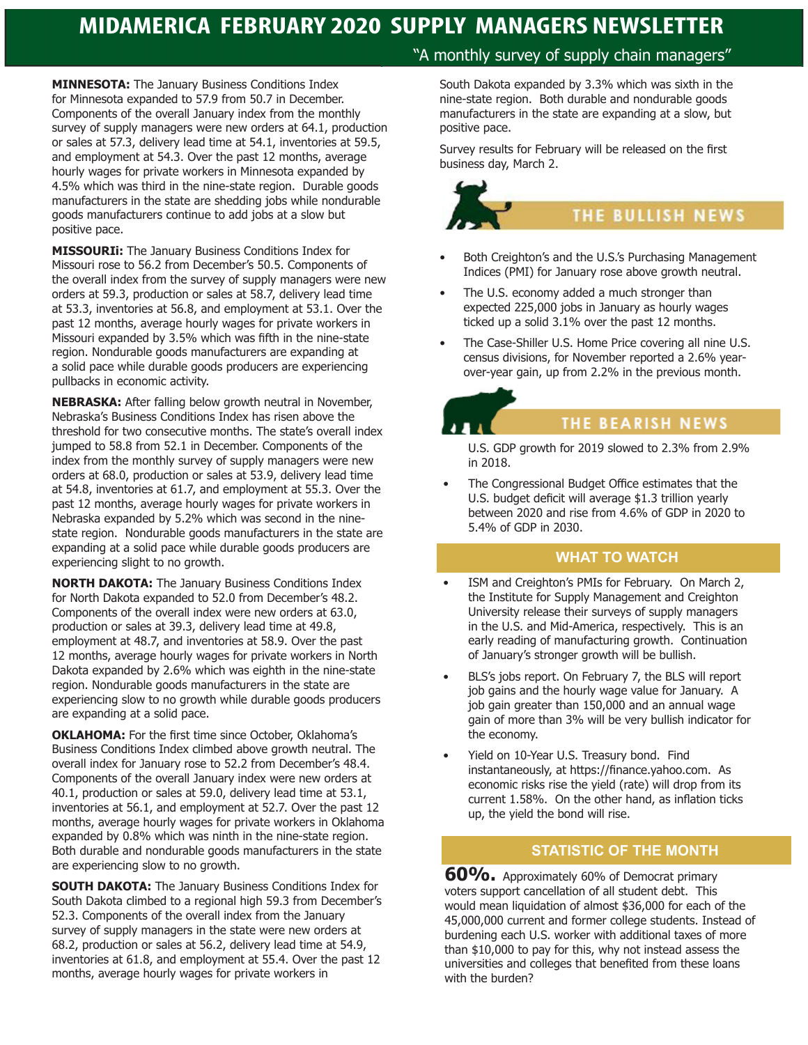**MINNESOTA:** The January Business Conditions Index for Minnesota expanded to 57.9 from 50.7 in December. Components of the overall January index from the monthly survey of supply managers were new orders at 64.1, production or sales at 57.3, delivery lead time at 54.1, inventories at 59.5, and employment at 54.3. Over the past 12 months, average hourly wages for private workers in Minnesota expanded by 4.5% which was third in the nine-state region. Durable goods manufacturers in the state are shedding jobs while nondurable goods manufacturers continue to add jobs at a slow but positive pace.

**MISSOURIi:** The January Business Conditions Index for Missouri rose to 56.2 from December's 50.5. Components of the overall index from the survey of supply managers were new orders at 59.3, production or sales at 58.7, delivery lead time at 53.3, inventories at 56.8, and employment at 53.1. Over the past 12 months, average hourly wages for private workers in Missouri expanded by 3.5% which was fifth in the nine-state region. Nondurable goods manufacturers are expanding at a solid pace while durable goods producers are experiencing pullbacks in economic activity.

**NEBRASKA:** After falling below growth neutral in November, Nebraska's Business Conditions Index has risen above the threshold for two consecutive months. The state's overall index jumped to 58.8 from 52.1 in December. Components of the index from the monthly survey of supply managers were new orders at 68.0, production or sales at 53.9, delivery lead time at 54.8, inventories at 61.7, and employment at 55.3. Over the past 12 months, average hourly wages for private workers in Nebraska expanded by 5.2% which was second in the ninestate region. Nondurable goods manufacturers in the state are expanding at a solid pace while durable goods producers are experiencing slight to no growth.

**NORTH DAKOTA:** The January Business Conditions Index for North Dakota expanded to 52.0 from December's 48.2. Components of the overall index were new orders at 63.0, production or sales at 39.3, delivery lead time at 49.8, employment at 48.7, and inventories at 58.9. Over the past 12 months, average hourly wages for private workers in North Dakota expanded by 2.6% which was eighth in the nine-state region. Nondurable goods manufacturers in the state are experiencing slow to no growth while durable goods producers are expanding at a solid pace.

**OKLAHOMA:** For the first time since October, Oklahoma's Business Conditions Index climbed above growth neutral. The overall index for January rose to 52.2 from December's 48.4. Components of the overall January index were new orders at 40.1, production or sales at 59.0, delivery lead time at 53.1, inventories at 56.1, and employment at 52.7. Over the past 12 months, average hourly wages for private workers in Oklahoma expanded by 0.8% which was ninth in the nine-state region. Both durable and nondurable goods manufacturers in the state are experiencing slow to no growth.

**SOUTH DAKOTA:** The January Business Conditions Index for South Dakota climbed to a regional high 59.3 from December's 52.3. Components of the overall index from the January survey of supply managers in the state were new orders at 68.2, production or sales at 56.2, delivery lead time at 54.9, inventories at 61.8, and employment at 55.4. Over the past 12 months, average hourly wages for private workers in

### "A monthly survey of supply chain managers"

South Dakota expanded by 3.3% which was sixth in the nine-state region. Both durable and nondurable goods manufacturers in the state are expanding at a slow, but positive pace.

Survey results for February will be released on the first business day, March 2.

# **THE BULLISH NEWS**

- Both Creighton's and the U.S.'s Purchasing Management Indices (PMI) for January rose above growth neutral.
- The U.S. economy added a much stronger than expected 225,000 jobs in January as hourly wages ticked up a solid 3.1% over the past 12 months.
- The Case-Shiller U.S. Home Price covering all nine U.S. census divisions, for November reported a 2.6% yearover-year gain, up from 2.2% in the previous month.

### THE BEARISH NEWS

U.S. GDP growth for 2019 slowed to 2.3% from 2.9% in 2018.

The Congressional Budget Office estimates that the U.S. budget deficit will average \$1.3 trillion yearly between 2020 and rise from 4.6% of GDP in 2020 to 5.4% of GDP in 2030.

### **WHAT TO WATCH**

- ISM and Creighton's PMIs for February. On March 2, the Institute for Supply Management and Creighton University release their surveys of supply managers in the U.S. and Mid-America, respectively. This is an early reading of manufacturing growth. Continuation of January's stronger growth will be bullish.
- BLS's jobs report. On February 7, the BLS will report job gains and the hourly wage value for January. A job gain greater than 150,000 and an annual wage gain of more than 3% will be very bullish indicator for the economy.
- Yield on 10-Year U.S. Treasury bond. Find instantaneously, at https://finance.yahoo.com. As economic risks rise the yield (rate) will drop from its current 1.58%. On the other hand, as inflation ticks up, the yield the bond will rise.

### **STATISTIC OF THE MONTH**

**60%.** Approximately 60% of Democrat primary voters support cancellation of all student debt. This would mean liquidation of almost \$36,000 for each of the 45,000,000 current and former college students. Instead of burdening each U.S. worker with additional taxes of more than \$10,000 to pay for this, why not instead assess the universities and colleges that benefited from these loans with the burden?